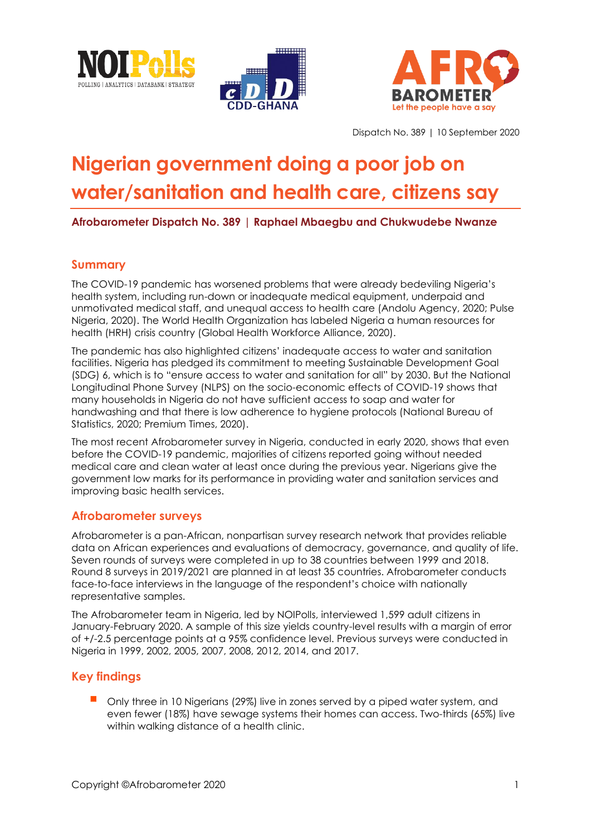





Dispatch No. 389 | 10 September 2020

# **Nigerian government doing a poor job on water/sanitation and health care, citizens say**

**Afrobarometer Dispatch No. 389 | Raphael Mbaegbu and Chukwudebe Nwanze** 

# **Summary**

The COVID-19 pandemic has worsened problems that were already bedeviling Nigeria's health system, including run-down or inadequate medical equipment, underpaid and unmotivated medical staff, and unequal access to health care (Andolu Agency, 2020; Pulse Nigeria, 2020). The World Health Organization has labeled Nigeria a human resources for health (HRH) crisis country (Global Health Workforce Alliance, 2020).

The pandemic has also highlighted citizens' inadequate access to water and sanitation facilities. Nigeria has pledged its commitment to meeting Sustainable Development Goal (SDG) 6, which is to "ensure access to water and sanitation for all" by 2030. But the National Longitudinal Phone Survey (NLPS) on the socio-economic effects of COVID-19 shows that many households in Nigeria do not have sufficient access to soap and water for handwashing and that there is low adherence to hygiene protocols (National Bureau of Statistics, 2020; Premium Times, 2020).

The most recent Afrobarometer survey in Nigeria, conducted in early 2020, shows that even before the COVID-19 pandemic, majorities of citizens reported going without needed medical care and clean water at least once during the previous year. Nigerians give the government low marks for its performance in providing water and sanitation services and improving basic health services.

## **Afrobarometer surveys**

Afrobarometer is a pan-African, nonpartisan survey research network that provides reliable data on African experiences and evaluations of democracy, governance, and quality of life. Seven rounds of surveys were completed in up to 38 countries between 1999 and 2018. Round 8 surveys in 2019/2021 are planned in at least 35 countries. Afrobarometer conducts face-to-face interviews in the language of the respondent's choice with nationally representative samples.

The Afrobarometer team in Nigeria, led by NOIPolls, interviewed 1,599 adult citizens in January-February 2020. A sample of this size yields country-level results with a margin of error of +/-2.5 percentage points at a 95% confidence level. Previous surveys were conducted in Nigeria in 1999, 2002, 2005, 2007, 2008, 2012, 2014, and 2017.

## **Key findings**

Only three in 10 Nigerians (29%) live in zones served by a piped water system, and even fewer (18%) have sewage systems their homes can access. Two-thirds (65%) live within walking distance of a health clinic.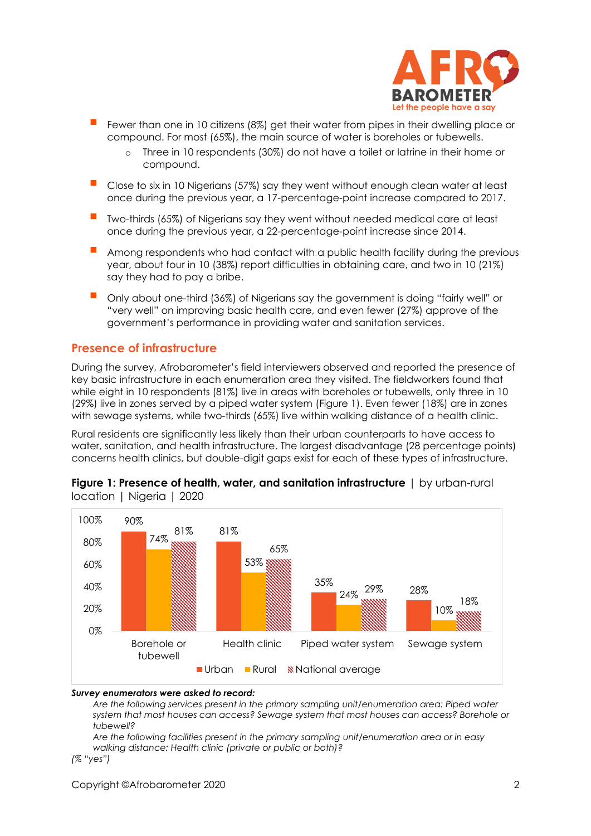

- Fewer than one in 10 citizens (8%) get their water from pipes in their dwelling place or compound. For most (65%), the main source of water is boreholes or tubewells.
	- o Three in 10 respondents (30%) do not have a toilet or latrine in their home or compound.
- Close to six in 10 Nigerians (57%) say they went without enough clean water at least once during the previous year, a 17-percentage-point increase compared to 2017.
- Two-thirds (65%) of Nigerians say they went without needed medical care at least once during the previous year, a 22-percentage-point increase since 2014.
- Among respondents who had contact with a public health facility during the previous year, about four in 10 (38%) report difficulties in obtaining care, and two in 10 (21%) say they had to pay a bribe.
- Only about one-third (36%) of Nigerians say the government is doing "fairly well" or "very well" on improving basic health care, and even fewer (27%) approve of the government's performance in providing water and sanitation services.

## **Presence of infrastructure**

During the survey, Afrobarometer's field interviewers observed and reported the presence of key basic infrastructure in each enumeration area they visited. The fieldworkers found that while eight in 10 respondents (81%) live in areas with boreholes or tubewells, only three in 10 (29%) live in zones served by a piped water system (Figure 1). Even fewer (18%) are in zones with sewage systems, while two-thirds (65%) live within walking distance of a health clinic.

Rural residents are significantly less likely than their urban counterparts to have access to water, sanitation, and health infrastructure. The largest disadvantage (28 percentage points) concerns health clinics, but double-digit gaps exist for each of these types of infrastructure.





#### *Survey enumerators were asked to record:*

*Are the following services present in the primary sampling unit/enumeration area: Piped water system that most houses can access? Sewage system that most houses can access? Borehole or tubewell?*

*Are the following facilities present in the primary sampling unit/enumeration area or in easy walking distance: Health clinic (private or public or both)?*

*(% "yes")*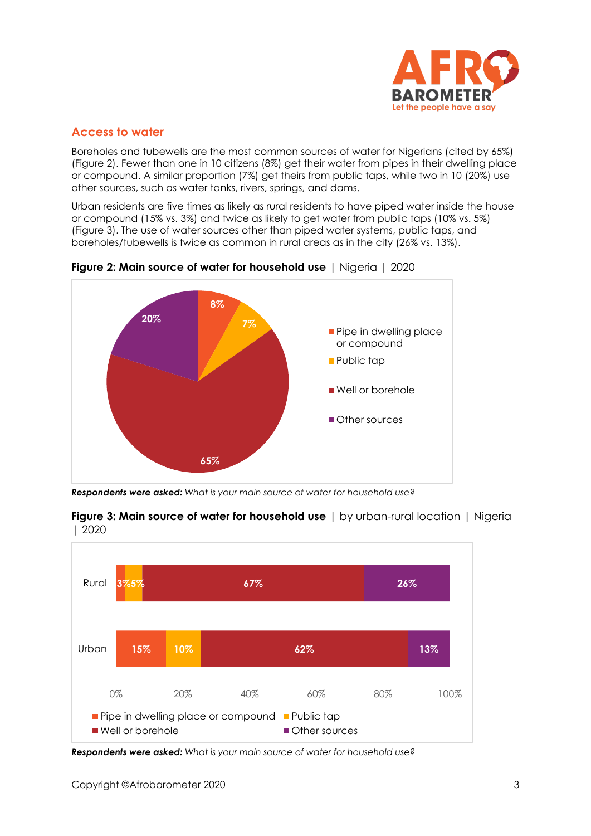

# **Access to water**

Boreholes and tubewells are the most common sources of water for Nigerians (cited by 65%) (Figure 2). Fewer than one in 10 citizens (8%) get their water from pipes in their dwelling place or compound. A similar proportion (7%) get theirs from public taps, while two in 10 (20%) use other sources, such as water tanks, rivers, springs, and dams.

Urban residents are five times as likely as rural residents to have piped water inside the house or compound (15% vs. 3%) and twice as likely to get water from public taps (10% vs. 5%) (Figure 3). The use of water sources other than piped water systems, public taps, and boreholes/tubewells is twice as common in rural areas as in the city (26% vs. 13%).



**Figure 2: Main source of water for household use** | Nigeria | 2020

*Respondents were asked: What is your main source of water for household use?*



**Figure 3: Main source of water for household use** | by urban-rural location | Nigeria | 2020

*Respondents were asked: What is your main source of water for household use?*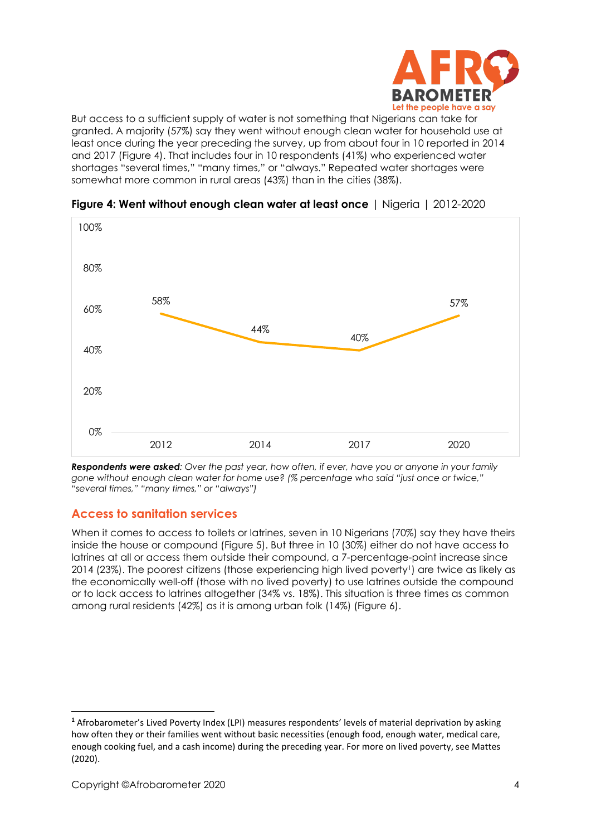

But access to a sufficient supply of water is not something that Nigerians can take for granted. A majority (57%) say they went without enough clean water for household use at least once during the year preceding the survey, up from about four in 10 reported in 2014 and 2017 (Figure 4). That includes four in 10 respondents (41%) who experienced water shortages "several times," "many times," or "always." Repeated water shortages were somewhat more common in rural areas (43%) than in the cities (38%).



**Figure 4: Went without enough clean water at least once** | Nigeria | 2012-2020

*Respondents were asked: Over the past year, how often, if ever, have you or anyone in your family gone without enough clean water for home use? (% percentage who said "just once or twice," "several times," "many times," or "always")*

# **Access to sanitation services**

When it comes to access to toilets or latrines, seven in 10 Nigerians (70%) say they have theirs inside the house or compound (Figure 5). But three in 10 (30%) either do not have access to latrines at all or access them outside their compound, a 7-percentage-point increase since 2014 (23%). The poorest citizens (those experiencing high lived poverty<sup>1</sup>) are twice as likely as the economically well-off (those with no lived poverty) to use latrines outside the compound or to lack access to latrines altogether (34% vs. 18%). This situation is three times as common among rural residents (42%) as it is among urban folk (14%) (Figure 6).

**<sup>1</sup>** Afrobarometer's Lived Poverty Index (LPI) measures respondents' levels of material deprivation by asking how often they or their families went without basic necessities (enough food, enough water, medical care, enough cooking fuel, and a cash income) during the preceding year. For more on lived poverty, see Mattes (2020).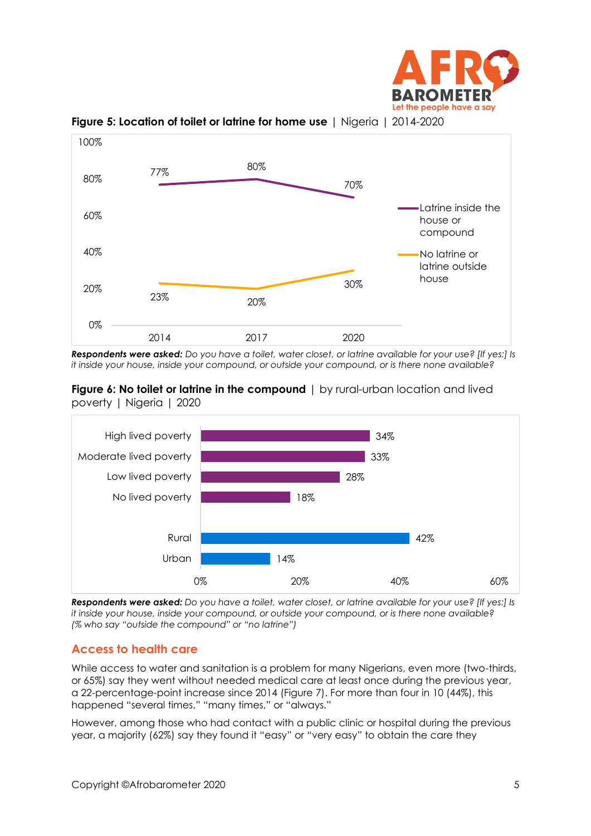



**Figure 5: Location of toilet or latrine for home use** | Nigeria | 2014-2020

*Respondents were asked: Do you have a toilet, water closet, or latrine available for your use? [If yes:] Is it inside your house, inside your compound, or outside your compound, or is there none available?*





*Respondents were asked: Do you have a toilet, water closet, or latrine available for your use? [If yes:] Is it inside your house, inside your compound, or outside your compound, or is there none available? (% who say "outside the compound" or "no latrine")*

## **Access to health care**

While access to water and sanitation is a problem for many Nigerians, even more (two-thirds, or 65%) say they went without needed medical care at least once during the previous year, a 22-percentage-point increase since 2014 (Figure 7). For more than four in 10 (44%), this happened "several times," "many times," or "always."

However, among those who had contact with a public clinic or hospital during the previous year, a majority (62%) say they found it "easy" or "very easy" to obtain the care they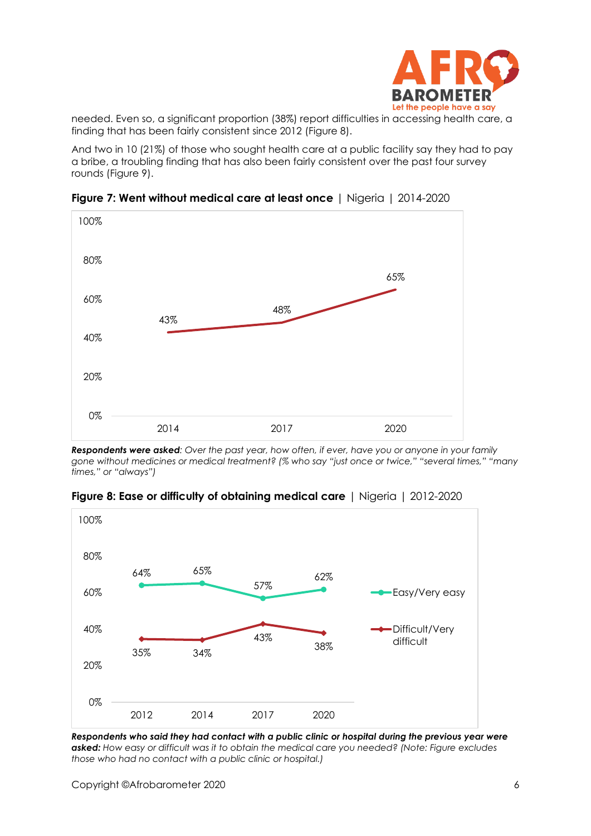

needed. Even so, a significant proportion (38%) report difficulties in accessing health care, a finding that has been fairly consistent since 2012 (Figure 8).

And two in 10 (21%) of those who sought health care at a public facility say they had to pay a bribe, a troubling finding that has also been fairly consistent over the past four survey rounds (Figure 9).



**Figure 7: Went without medical care at least once** | Nigeria | 2014-2020

*Respondents were asked: Over the past year, how often, if ever, have you or anyone in your family gone without medicines or medical treatment? (% who say "just once or twice," "several times," "many times," or "always")*





*Respondents who said they had contact with a public clinic or hospital during the previous year were asked: How easy or difficult was it to obtain the medical care you needed? (Note: Figure excludes those who had no contact with a public clinic or hospital.)*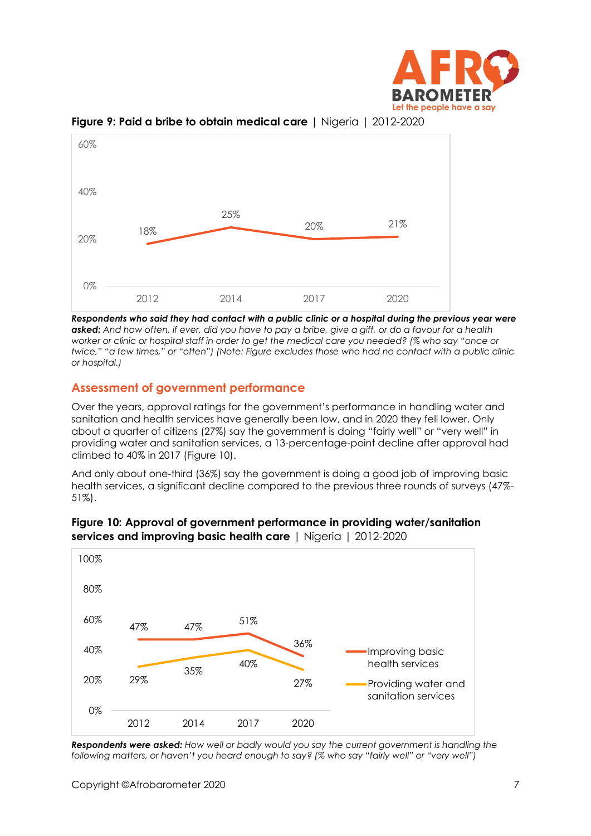



**Figure 9: Paid a bribe to obtain medical care** | Nigeria | 2012-2020

*Respondents who said they had contact with a public clinic or a hospital during the previous year were asked: And how often, if ever, did you have to pay a bribe, give a gift, or do a favour for a health worker or clinic or hospital staff in order to get the medical care you needed? (% who say "once or twice," "a few times," or "often") (Note: Figure excludes those who had no contact with a public clinic or hospital.)*

# **Assessment of government performance**

Over the years, approval ratings for the government's performance in handling water and sanitation and health services have generally been low, and in 2020 they fell lower. Only about a quarter of citizens (27%) say the government is doing "fairly well" or "very well" in providing water and sanitation services, a 13-percentage-point decline after approval had climbed to 40% in 2017 (Figure 10).

And only about one-third (36%) say the government is doing a good job of improving basic health services, a significant decline compared to the previous three rounds of surveys (47%- 51%).



#### **Figure 10: Approval of government performance in providing water/sanitation services and improving basic health care** | Nigeria | 2012-2020

*Respondents were asked: How well or badly would you say the current government is handling the following matters, or haven't you heard enough to say? (% who say "fairly well" or "very well")*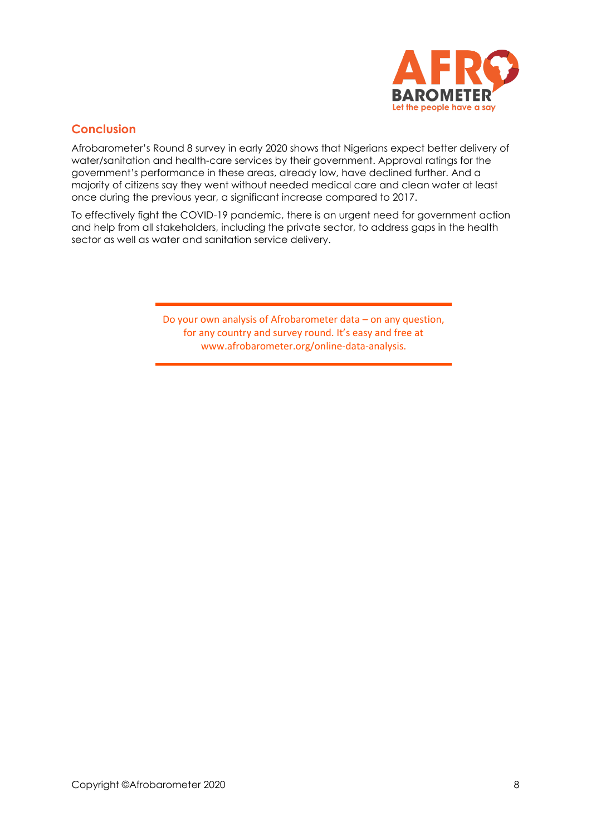

# **Conclusion**

Afrobarometer's Round 8 survey in early 2020 shows that Nigerians expect better delivery of water/sanitation and health-care services by their government. Approval ratings for the government's performance in these areas, already low, have declined further. And a majority of citizens say they went without needed medical care and clean water at least once during the previous year, a significant increase compared to 2017.

To effectively fight the COVID-19 pandemic, there is an urgent need for government action and help from all stakeholders, including the private sector, to address gaps in the health sector as well as water and sanitation service delivery.

> Do your own analysis of Afrobarometer data – on any question, for any country and survey round. It's easy and free at www.afrobarometer.org/online-data-analysis.